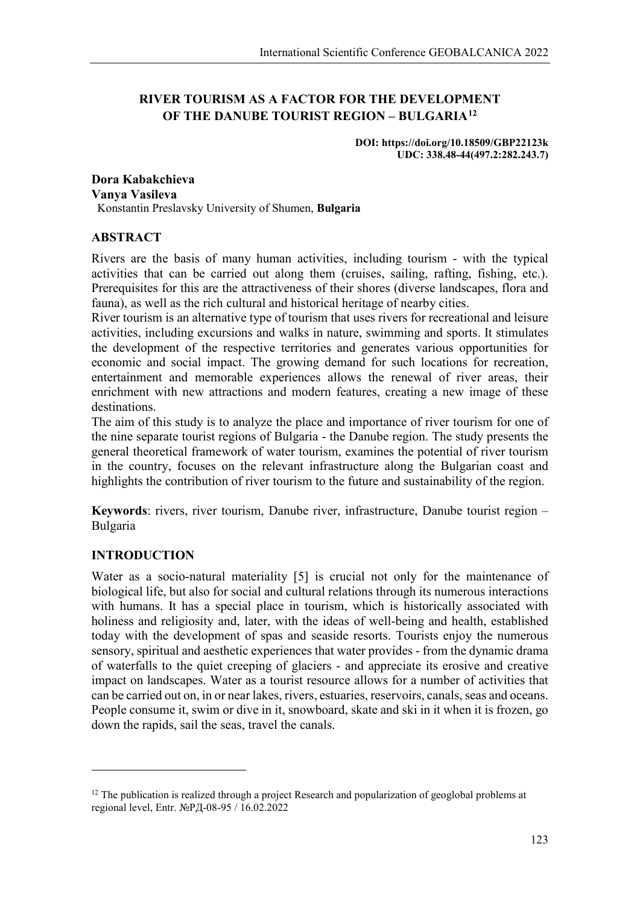# **RIVER TOURISM AS A FACTOR FOR THE DEVELOPMENT OF THE DANUBE TOURIST REGION – BULGARIA[12](#page-0-0)**

**DOI: https://doi.org/10.18509/GBP22123k UDC: 338.48-44(497.2:282.243.7)**

#### **Dora Kabakchieva Vanya Vasileva** Konstantin Preslavsky University of Shumen, **Bulgaria**

# **ABSTRACT**

Rivers are the basis of many human activities, including tourism - with the typical activities that can be carried out along them (cruises, sailing, rafting, fishing, etc.). Prerequisites for this are the attractiveness of their shores (diverse landscapes, flora and fauna), as well as the rich cultural and historical heritage of nearby cities.

River tourism is an alternative type of tourism that uses rivers for recreational and leisure activities, including excursions and walks in nature, swimming and sports. It stimulates the development of the respective territories and generates various opportunities for economic and social impact. The growing demand for such locations for recreation, entertainment and memorable experiences allows the renewal of river areas, their enrichment with new attractions and modern features, creating a new image of these destinations.

The aim of this study is to analyze the place and importance of river tourism for one of the nine separate tourist regions of Bulgaria - the Danube region. The study presents the general theoretical framework of water tourism, examines the potential of river tourism in the country, focuses on the relevant infrastructure along the Bulgarian coast and highlights the contribution of river tourism to the future and sustainability of the region.

**Keywords**: rivers, river tourism, Danube river, infrastructure, Danube tourist region – Bulgaria

# **INTRODUCTION**

**.** 

Water as a socio-natural materiality [5] is crucial not only for the maintenance of biological life, but also for social and cultural relations through its numerous interactions with humans. It has a special place in tourism, which is historically associated with holiness and religiosity and, later, with the ideas of well-being and health, established today with the development of spas and seaside resorts. Tourists enjoy the numerous sensory, spiritual and aesthetic experiences that water provides - from the dynamic drama of waterfalls to the quiet creeping of glaciers - and appreciate its erosive and creative impact on landscapes. Water as a tourist resource allows for a number of activities that can be carried out on, in or near lakes, rivers, estuaries, reservoirs, canals, seas and oceans. People consume it, swim or dive in it, snowboard, skate and ski in it when it is frozen, go down the rapids, sail the seas, travel the canals.

<span id="page-0-0"></span> $12$  The publication is realized through a project Research and popularization of geoglobal problems at regional level, Entr. №РД-08-95 / 16.02.2022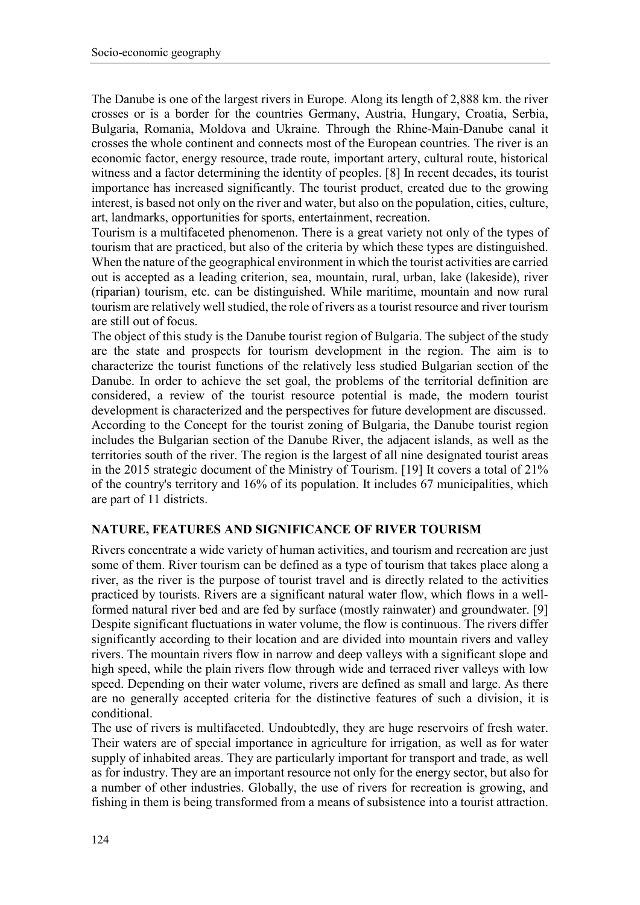The Danube is one of the largest rivers in Europe. Along its length of 2,888 km. the river crosses or is a border for the countries Germany, Austria, Hungary, Croatia, Serbia, Bulgaria, Romania, Moldova and Ukraine. Through the Rhine-Main-Danube canal it crosses the whole continent and connects most of the European countries. The river is an economic factor, energy resource, trade route, important artery, cultural route, historical witness and a factor determining the identity of peoples. [8] In recent decades, its tourist importance has increased significantly. The tourist product, created due to the growing interest, is based not only on the river and water, but also on the population, cities, culture, art, landmarks, opportunities for sports, entertainment, recreation.

Tourism is a multifaceted phenomenon. There is a great variety not only of the types of tourism that are practiced, but also of the criteria by which these types are distinguished. When the nature of the geographical environment in which the tourist activities are carried out is accepted as a leading criterion, sea, mountain, rural, urban, lake (lakeside), river (riparian) tourism, etc. can be distinguished. While maritime, mountain and now rural tourism are relatively well studied, the role of rivers as a tourist resource and river tourism are still out of focus.

The object of this study is the Danube tourist region of Bulgaria. The subject of the study are the state and prospects for tourism development in the region. The aim is to characterize the tourist functions of the relatively less studied Bulgarian section of the Danube. In order to achieve the set goal, the problems of the territorial definition are considered, a review of the tourist resource potential is made, the modern tourist development is characterized and the perspectives for future development are discussed. According to the Concept for the tourist zoning of Bulgaria, the Danube tourist region includes the Bulgarian section of the Danube River, the adjacent islands, as well as the territories south of the river. The region is the largest of all nine designated tourist areas in the 2015 strategic document of the Ministry of Tourism. [19] It covers a total of 21% of the country's territory and 16% of its population. It includes 67 municipalities, which are part of 11 districts.

# **NATURE, FEATURES AND SIGNIFICANCE OF RIVER TOURISM**

Rivers concentrate a wide variety of human activities, and tourism and recreation are just some of them. River tourism can be defined as a type of tourism that takes place along a river, as the river is the purpose of tourist travel and is directly related to the activities practiced by tourists. Rivers are a significant natural water flow, which flows in a wellformed natural river bed and are fed by surface (mostly rainwater) and groundwater. [9] Despite significant fluctuations in water volume, the flow is continuous. The rivers differ significantly according to their location and are divided into mountain rivers and valley rivers. The mountain rivers flow in narrow and deep valleys with a significant slope and high speed, while the plain rivers flow through wide and terraced river valleys with low speed. Depending on their water volume, rivers are defined as small and large. As there are no generally accepted criteria for the distinctive features of such a division, it is conditional.

The use of rivers is multifaceted. Undoubtedly, they are huge reservoirs of fresh water. Their waters are of special importance in agriculture for irrigation, as well as for water supply of inhabited areas. They are particularly important for transport and trade, as well as for industry. They are an important resource not only for the energy sector, but also for a number of other industries. Globally, the use of rivers for recreation is growing, and fishing in them is being transformed from a means of subsistence into a tourist attraction.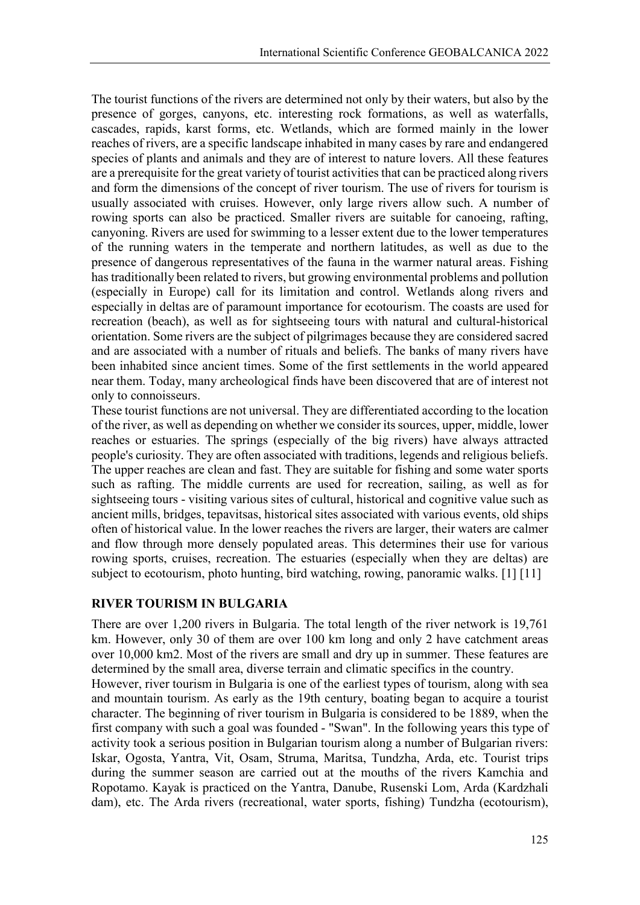The tourist functions of the rivers are determined not only by their waters, but also by the presence of gorges, canyons, etc. interesting rock formations, as well as waterfalls, cascades, rapids, karst forms, etc. Wetlands, which are formed mainly in the lower reaches of rivers, are a specific landscape inhabited in many cases by rare and endangered species of plants and animals and they are of interest to nature lovers. All these features are a prerequisite for the great variety of tourist activities that can be practiced along rivers and form the dimensions of the concept of river tourism. The use of rivers for tourism is usually associated with cruises. However, only large rivers allow such. A number of rowing sports can also be practiced. Smaller rivers are suitable for canoeing, rafting, canyoning. Rivers are used for swimming to a lesser extent due to the lower temperatures of the running waters in the temperate and northern latitudes, as well as due to the presence of dangerous representatives of the fauna in the warmer natural areas. Fishing has traditionally been related to rivers, but growing environmental problems and pollution (especially in Europe) call for its limitation and control. Wetlands along rivers and especially in deltas are of paramount importance for ecotourism. The coasts are used for recreation (beach), as well as for sightseeing tours with natural and cultural-historical orientation. Some rivers are the subject of pilgrimages because they are considered sacred and are associated with a number of rituals and beliefs. The banks of many rivers have been inhabited since ancient times. Some of the first settlements in the world appeared near them. Today, many archeological finds have been discovered that are of interest not only to connoisseurs.

These tourist functions are not universal. They are differentiated according to the location of the river, as well as depending on whether we consider its sources, upper, middle, lower reaches or estuaries. The springs (especially of the big rivers) have always attracted people's curiosity. They are often associated with traditions, legends and religious beliefs. The upper reaches are clean and fast. They are suitable for fishing and some water sports such as rafting. The middle currents are used for recreation, sailing, as well as for sightseeing tours - visiting various sites of cultural, historical and cognitive value such as ancient mills, bridges, tepavitsas, historical sites associated with various events, old ships often of historical value. In the lower reaches the rivers are larger, their waters are calmer and flow through more densely populated areas. This determines their use for various rowing sports, cruises, recreation. The estuaries (especially when they are deltas) are subject to ecotourism, photo hunting, bird watching, rowing, panoramic walks. [1] [11]

# **RIVER TOURISM IN BULGARIA**

There are over 1,200 rivers in Bulgaria. The total length of the river network is 19,761 km. However, only 30 of them are over 100 km long and only 2 have catchment areas over 10,000 km2. Most of the rivers are small and dry up in summer. These features are determined by the small area, diverse terrain and climatic specifics in the country.

However, river tourism in Bulgaria is one of the earliest types of tourism, along with sea and mountain tourism. As early as the 19th century, boating began to acquire a tourist character. The beginning of river tourism in Bulgaria is considered to be 1889, when the first company with such a goal was founded - "Swan". In the following years this type of activity took a serious position in Bulgarian tourism along a number of Bulgarian rivers: Iskar, Ogosta, Yantra, Vit, Osam, Struma, Maritsa, Tundzha, Arda, etc. Tourist trips during the summer season are carried out at the mouths of the rivers Kamchia and Ropotamo. Kayak is practiced on the Yantra, Danube, Rusenski Lom, Arda (Kardzhali dam), etc. The Arda rivers (recreational, water sports, fishing) Tundzha (ecotourism),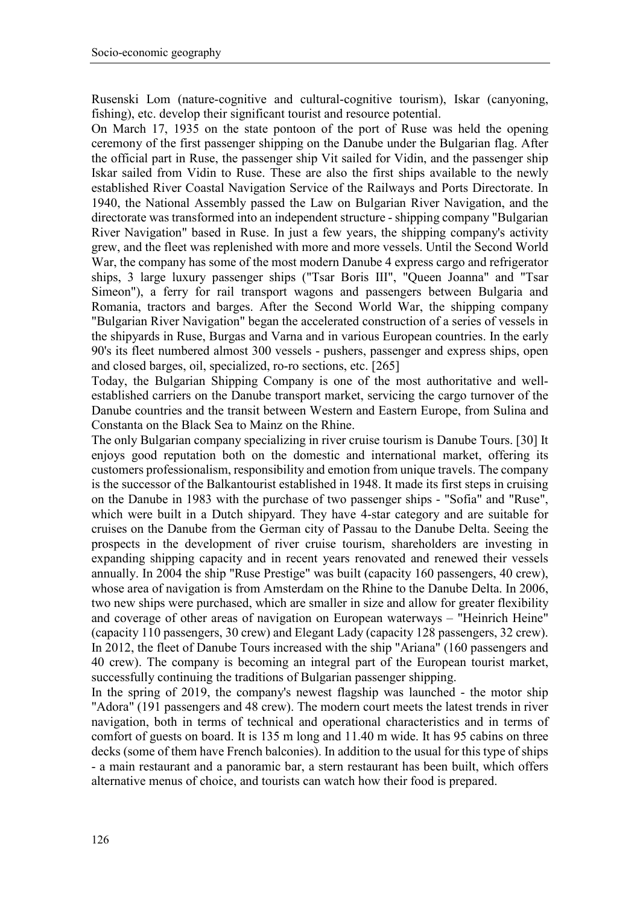Rusenski Lom (nature-cognitive and cultural-cognitive tourism), Iskar (canyoning, fishing), etc. develop their significant tourist and resource potential.

On March 17, 1935 on the state pontoon of the port of Ruse was held the opening ceremony of the first passenger shipping on the Danube under the Bulgarian flag. After the official part in Ruse, the passenger ship Vit sailed for Vidin, and the passenger ship Iskar sailed from Vidin to Ruse. These are also the first ships available to the newly established River Coastal Navigation Service of the Railways and Ports Directorate. In 1940, the National Assembly passed the Law on Bulgarian River Navigation, and the directorate was transformed into an independent structure - shipping company "Bulgarian River Navigation" based in Ruse. In just a few years, the shipping company's activity grew, and the fleet was replenished with more and more vessels. Until the Second World War, the company has some of the most modern Danube 4 express cargo and refrigerator ships, 3 large luxury passenger ships ("Tsar Boris III", "Queen Joanna" and "Tsar Simeon"), a ferry for rail transport wagons and passengers between Bulgaria and Romania, tractors and barges. After the Second World War, the shipping company "Bulgarian River Navigation" began the accelerated construction of a series of vessels in the shipyards in Ruse, Burgas and Varna and in various European countries. In the early 90's its fleet numbered almost 300 vessels - pushers, passenger and express ships, open and closed barges, oil, specialized, ro-ro sections, etc. [265]

Today, the Bulgarian Shipping Company is one of the most authoritative and wellestablished carriers on the Danube transport market, servicing the cargo turnover of the Danube countries and the transit between Western and Eastern Europe, from Sulina and Constanta on the Black Sea to Mainz on the Rhine.

The only Bulgarian company specializing in river cruise tourism is Danube Tours. [30] It enjoys good reputation both on the domestic and international market, offering its customers professionalism, responsibility and emotion from unique travels. The company is the successor of the Balkantourist established in 1948. It made its first steps in cruising on the Danube in 1983 with the purchase of two passenger ships - "Sofia" and "Ruse", which were built in a Dutch shipyard. They have 4-star category and are suitable for cruises on the Danube from the German city of Passau to the Danube Delta. Seeing the prospects in the development of river cruise tourism, shareholders are investing in expanding shipping capacity and in recent years renovated and renewed their vessels annually. In 2004 the ship "Ruse Prestige" was built (capacity 160 passengers, 40 crew), whose area of navigation is from Amsterdam on the Rhine to the Danube Delta. In 2006, two new ships were purchased, which are smaller in size and allow for greater flexibility and coverage of other areas of navigation on European waterways – "Heinrich Heine" (capacity 110 passengers, 30 crew) and Elegant Lady (capacity 128 passengers, 32 crew). In 2012, the fleet of Danube Tours increased with the ship "Ariana" (160 passengers and 40 crew). The company is becoming an integral part of the European tourist market, successfully continuing the traditions of Bulgarian passenger shipping.

In the spring of 2019, the company's newest flagship was launched - the motor ship "Adora" (191 passengers and 48 crew). The modern court meets the latest trends in river navigation, both in terms of technical and operational characteristics and in terms of comfort of guests on board. It is 135 m long and 11.40 m wide. It has 95 cabins on three decks (some of them have French balconies). In addition to the usual for this type of ships - a main restaurant and a panoramic bar, a stern restaurant has been built, which offers alternative menus of choice, and tourists can watch how their food is prepared.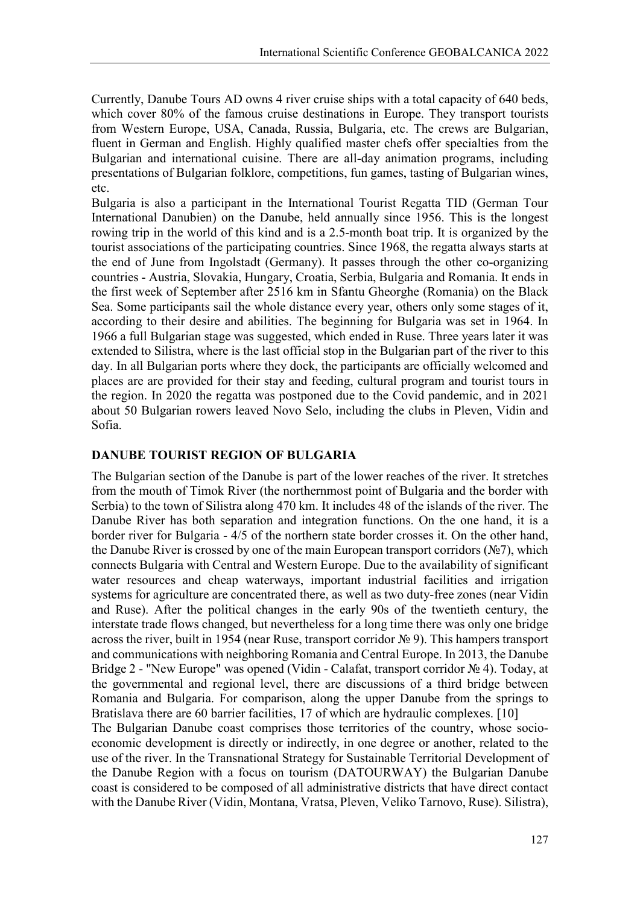Currently, Danube Tours AD owns 4 river cruise ships with a total capacity of 640 beds, which cover 80% of the famous cruise destinations in Europe. They transport tourists from Western Europe, USA, Canada, Russia, Bulgaria, etc. The crews are Bulgarian, fluent in German and English. Highly qualified master chefs offer specialties from the Bulgarian and international cuisine. There are all-day animation programs, including presentations of Bulgarian folklore, competitions, fun games, tasting of Bulgarian wines, etc.

Bulgaria is also a participant in the International Tourist Regatta TID (German Tour International Danubien) on the Danube, held annually since 1956. This is the longest rowing trip in the world of this kind and is a 2.5-month boat trip. It is organized by the tourist associations of the participating countries. Since 1968, the regatta always starts at the end of June from Ingolstadt (Germany). It passes through the other co-organizing countries - Austria, Slovakia, Hungary, Croatia, Serbia, Bulgaria and Romania. It ends in the first week of September after 2516 km in Sfantu Gheorghe (Romania) on the Black Sea. Some participants sail the whole distance every year, others only some stages of it, according to their desire and abilities. The beginning for Bulgaria was set in 1964. In 1966 a full Bulgarian stage was suggested, which ended in Ruse. Three years later it was extended to Silistra, where is the last official stop in the Bulgarian part of the river to this day. In all Bulgarian ports where they dock, the participants are officially welcomed and places are are provided for their stay and feeding, cultural program and tourist tours in the region. In 2020 the regatta was postponed due to the Covid pandemic, and in 2021 about 50 Bulgarian rowers leaved Novo Selo, including the clubs in Pleven, Vidin and Sofia.

# **DANUBE TOURIST REGION OF BULGARIA**

The Bulgarian section of the Danube is part of the lower reaches of the river. It stretches from the mouth of Timok River (the northernmost point of Bulgaria and the border with Serbia) to the town of Silistra along 470 km. It includes 48 of the islands of the river. The Danube River has both separation and integration functions. On the one hand, it is a border river for Bulgaria - 4/5 of the northern state border crosses it. On the other hand, the Danube River is crossed by one of the main European transport corridors (№7), which connects Bulgaria with Central and Western Europe. Due to the availability of significant water resources and cheap waterways, important industrial facilities and irrigation systems for agriculture are concentrated there, as well as two duty-free zones (near Vidin and Ruse). After the political changes in the early 90s of the twentieth century, the interstate trade flows changed, but nevertheless for a long time there was only one bridge across the river, built in 1954 (near Ruse, transport corridor № 9). This hampers transport and communications with neighboring Romania and Central Europe. In 2013, the Danube Bridge 2 - "New Europe" was opened (Vidin - Calafat, transport corridor № 4). Today, at the governmental and regional level, there are discussions of a third bridge between Romania and Bulgaria. For comparison, along the upper Danube from the springs to Bratislava there are 60 barrier facilities, 17 of which are hydraulic complexes. [10]

The Bulgarian Danube coast comprises those territories of the country, whose socioeconomic development is directly or indirectly, in one degree or another, related to the use of the river. In the Transnational Strategy for Sustainable Territorial Development of the Danube Region with a focus on tourism (DATOURWAY) the Bulgarian Danube coast is considered to be composed of all administrative districts that have direct contact with the Danube River (Vidin, Montana, Vratsa, Pleven, Veliko Tarnovo, Ruse). Silistra),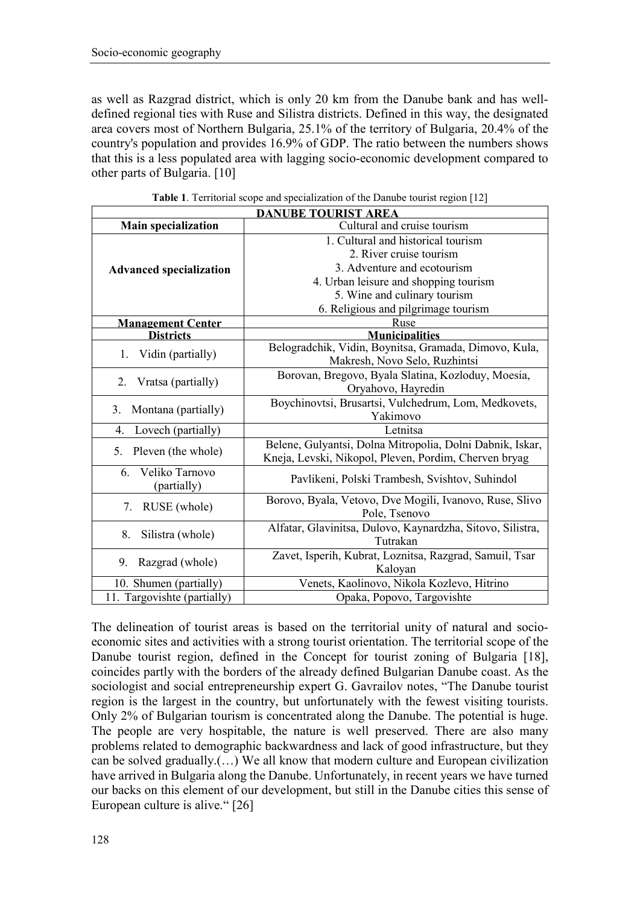as well as Razgrad district, which is only 20 km from the Danube bank and has welldefined regional ties with Ruse and Silistra districts. Defined in this way, the designated area covers most of Northern Bulgaria, 25.1% of the territory of Bulgaria, 20.4% of the country's population and provides 16.9% of GDP. The ratio between the numbers shows that this is a less populated area with lagging socio-economic development compared to other parts of Bulgaria. [10]

| <b>DANUBE TOURIST AREA</b>     |                                                            |  |  |
|--------------------------------|------------------------------------------------------------|--|--|
| <b>Main specialization</b>     | Cultural and cruise tourism                                |  |  |
|                                | 1. Cultural and historical tourism                         |  |  |
|                                | 2. River cruise tourism                                    |  |  |
| <b>Advanced specialization</b> | 3. Adventure and ecotourism                                |  |  |
|                                | 4. Urban leisure and shopping tourism                      |  |  |
|                                | 5. Wine and culinary tourism                               |  |  |
|                                | 6. Religious and pilgrimage tourism                        |  |  |
| <b>Management Center</b>       | Ruse                                                       |  |  |
| <b>Districts</b>               | <b>Municipalities</b>                                      |  |  |
| Vidin (partially)<br>1.        | Belogradchik, Vidin, Boynitsa, Gramada, Dimovo, Kula,      |  |  |
|                                | Makresh, Novo Selo, Ruzhintsi                              |  |  |
| Vratsa (partially)<br>2.       | Borovan, Bregovo, Byala Slatina, Kozloduy, Moesia,         |  |  |
|                                | Oryahovo, Hayredin                                         |  |  |
| Montana (partially)<br>3.      | Boychinovtsi, Brusartsi, Vulchedrum, Lom, Medkovets,       |  |  |
|                                | Yakimovo                                                   |  |  |
| Lovech (partially)<br>4.       | Letnitsa                                                   |  |  |
| Pleven (the whole)<br>5.       | Belene, Gulyantsi, Dolna Mitropolia, Dolni Dabnik, Iskar,  |  |  |
|                                | Kneja, Levski, Nikopol, Pleven, Pordim, Cherven bryag      |  |  |
| Veliko Tarnovo<br>6.           | Pavlikeni, Polski Trambesh, Svishtov, Suhindol             |  |  |
| (partially)                    |                                                            |  |  |
| 7.<br>RUSE (whole)             | Borovo, Byala, Vetovo, Dve Mogili, Ivanovo, Ruse, Slivo    |  |  |
|                                | Pole, Tsenovo                                              |  |  |
| 8.<br>Silistra (whole)         | Alfatar, Glavinitsa, Dulovo, Kaynardzha, Sitovo, Silistra, |  |  |
|                                | Tutrakan                                                   |  |  |
| Razgrad (whole)<br>9.          | Zavet, Isperih, Kubrat, Loznitsa, Razgrad, Samuil, Tsar    |  |  |
|                                | Kaloyan                                                    |  |  |
| 10. Shumen (partially)         | Venets, Kaolinovo, Nikola Kozlevo, Hitrino                 |  |  |
| 11. Targovishte (partially)    | Opaka, Popovo, Targovishte                                 |  |  |

| Table 1. Territorial scope and specialization of the Danube tourist region [12] |  |  |  |
|---------------------------------------------------------------------------------|--|--|--|
|---------------------------------------------------------------------------------|--|--|--|

The delineation of tourist areas is based on the territorial unity of natural and socioeconomic sites and activities with a strong tourist orientation. The territorial scope of the Danube tourist region, defined in the Concept for tourist zoning of Bulgaria [18], coincides partly with the borders of the already defined Bulgarian Danube coast. As the sociologist and social entrepreneurship expert G. Gavrailov notes, "The Danube tourist region is the largest in the country, but unfortunately with the fewest visiting tourists. Only 2% of Bulgarian tourism is concentrated along the Danube. The potential is huge. The people are very hospitable, the nature is well preserved. There are also many problems related to demographic backwardness and lack of good infrastructure, but they can be solved gradually.(…) We all know that modern culture and European civilization have arrived in Bulgaria along the Danube. Unfortunately, in recent years we have turned our backs on this element of our development, but still in the Danube cities this sense of European culture is alive." [26]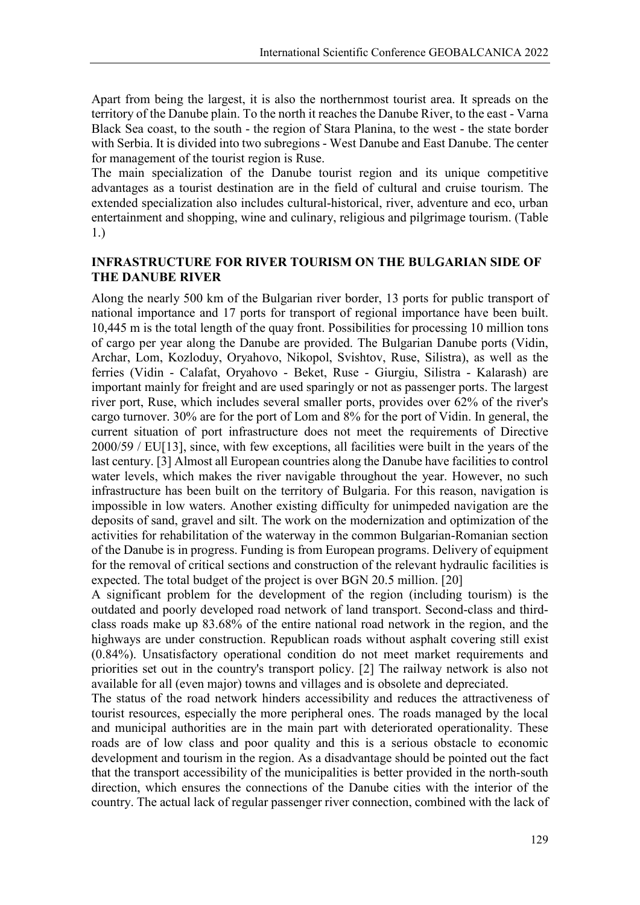Apart from being the largest, it is also the northernmost tourist area. It spreads on the territory of the Danube plain. To the north it reaches the Danube River, to the east - Varna Black Sea coast, to the south - the region of Stara Planina, to the west - the state border with Serbia. It is divided into two subregions - West Danube and East Danube. The center for management of the tourist region is Ruse.

The main specialization of the Danube tourist region and its unique competitive advantages as a tourist destination are in the field of cultural and cruise tourism. The extended specialization also includes cultural-historical, river, adventure and eco, urban entertainment and shopping, wine and culinary, religious and pilgrimage tourism. (Table 1.)

### **INFRASTRUCTURE FOR RIVER TOURISM ON THE BULGARIAN SIDE OF THE DANUBE RIVER**

Along the nearly 500 km of the Bulgarian river border, 13 ports for public transport of national importance and 17 ports for transport of regional importance have been built. 10,445 m is the total length of the quay front. Possibilities for processing 10 million tons of cargo per year along the Danube are provided. The Bulgarian Danube ports (Vidin, Archar, Lom, Kozloduy, Oryahovo, Nikopol, Svishtov, Ruse, Silistra), as well as the ferries (Vidin - Calafat, Oryahovo - Beket, Ruse - Giurgiu, Silistra - Kalarash) are important mainly for freight and are used sparingly or not as passenger ports. The largest river port, Ruse, which includes several smaller ports, provides over 62% of the river's cargo turnover. 30% are for the port of Lom and 8% for the port of Vidin. In general, the current situation of port infrastructure does not meet the requirements of Directive 2000/59 / EU[13], since, with few exceptions, all facilities were built in the years of the last century. [3] Almost all European countries along the Danube have facilities to control water levels, which makes the river navigable throughout the year. However, no such infrastructure has been built on the territory of Bulgaria. For this reason, navigation is impossible in low waters. Another existing difficulty for unimpeded navigation are the deposits of sand, gravel and silt. The work on the modernization and optimization of the activities for rehabilitation of the waterway in the common Bulgarian-Romanian section of the Danube is in progress. Funding is from European programs. Delivery of equipment for the removal of critical sections and construction of the relevant hydraulic facilities is expected. The total budget of the project is over BGN 20.5 million. [20]

A significant problem for the development of the region (including tourism) is the outdated and poorly developed road network of land transport. Second-class and thirdclass roads make up 83.68% of the entire national road network in the region, and the highways are under construction. Republican roads without asphalt covering still exist (0.84%). Unsatisfactory operational condition do not meet market requirements and priorities set out in the country's transport policy. [2] The railway network is also not available for all (even major) towns and villages and is obsolete and depreciated.

The status of the road network hinders accessibility and reduces the attractiveness of tourist resources, especially the more peripheral ones. The roads managed by the local and municipal authorities are in the main part with deteriorated operationality. These roads are of low class and poor quality and this is a serious obstacle to economic development and tourism in the region. As a disadvantage should be pointed out the fact that the transport accessibility of the municipalities is better provided in the north-south direction, which ensures the connections of the Danube cities with the interior of the country. The actual lack of regular passenger river connection, combined with the lack of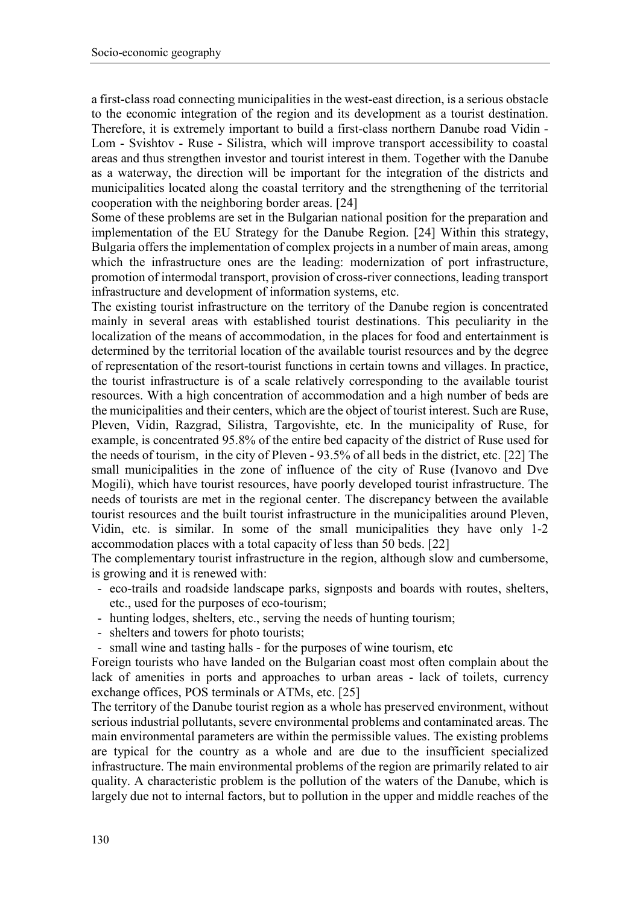a first-class road connecting municipalities in the west-east direction, is a serious obstacle to the economic integration of the region and its development as a tourist destination. Therefore, it is extremely important to build a first-class northern Danube road Vidin - Lom - Svishtov - Ruse - Silistra, which will improve transport accessibility to coastal areas and thus strengthen investor and tourist interest in them. Together with the Danube as a waterway, the direction will be important for the integration of the districts and municipalities located along the coastal territory and the strengthening of the territorial cooperation with the neighboring border areas. [24]

Some of these problems are set in the Bulgarian national position for the preparation and implementation of the EU Strategy for the Danube Region. [24] Within this strategy, Bulgaria offers the implementation of complex projects in a number of main areas, among which the infrastructure ones are the leading: modernization of port infrastructure, promotion of intermodal transport, provision of cross-river connections, leading transport infrastructure and development of information systems, etc.

The existing tourist infrastructure on the territory of the Danube region is concentrated mainly in several areas with established tourist destinations. This peculiarity in the localization of the means of accommodation, in the places for food and entertainment is determined by the territorial location of the available tourist resources and by the degree of representation of the resort-tourist functions in certain towns and villages. In practice, the tourist infrastructure is of a scale relatively corresponding to the available tourist resources. With a high concentration of accommodation and a high number of beds are the municipalities and their centers, which are the object of tourist interest. Such are Ruse, Pleven, Vidin, Razgrad, Silistra, Targovishte, etc. In the municipality of Ruse, for example, is concentrated 95.8% of the entire bed capacity of the district of Ruse used for the needs of tourism, in the city of Pleven - 93.5% of all beds in the district, etc. [22] The small municipalities in the zone of influence of the city of Ruse (Ivanovo and Dve Mogili), which have tourist resources, have poorly developed tourist infrastructure. The needs of tourists are met in the regional center. The discrepancy between the available tourist resources and the built tourist infrastructure in the municipalities around Pleven, Vidin, etc. is similar. In some of the small municipalities they have only 1-2 accommodation places with a total capacity of less than 50 beds. [22]

The complementary tourist infrastructure in the region, although slow and cumbersome, is growing and it is renewed with:

- eco-trails and roadside landscape parks, signposts and boards with routes, shelters, etc., used for the purposes of eco-tourism;
- hunting lodges, shelters, etc., serving the needs of hunting tourism;
- shelters and towers for photo tourists;
- small wine and tasting halls for the purposes of wine tourism, etc

Foreign tourists who have landed on the Bulgarian coast most often complain about the lack of amenities in ports and approaches to urban areas - lack of toilets, currency exchange offices, POS terminals or ATMs, etc. [25]

The territory of the Danube tourist region as a whole has preserved environment, without serious industrial pollutants, severe environmental problems and contaminated areas. The main environmental parameters are within the permissible values. The existing problems are typical for the country as a whole and are due to the insufficient specialized infrastructure. The main environmental problems of the region are primarily related to air quality. A characteristic problem is the pollution of the waters of the Danube, which is largely due not to internal factors, but to pollution in the upper and middle reaches of the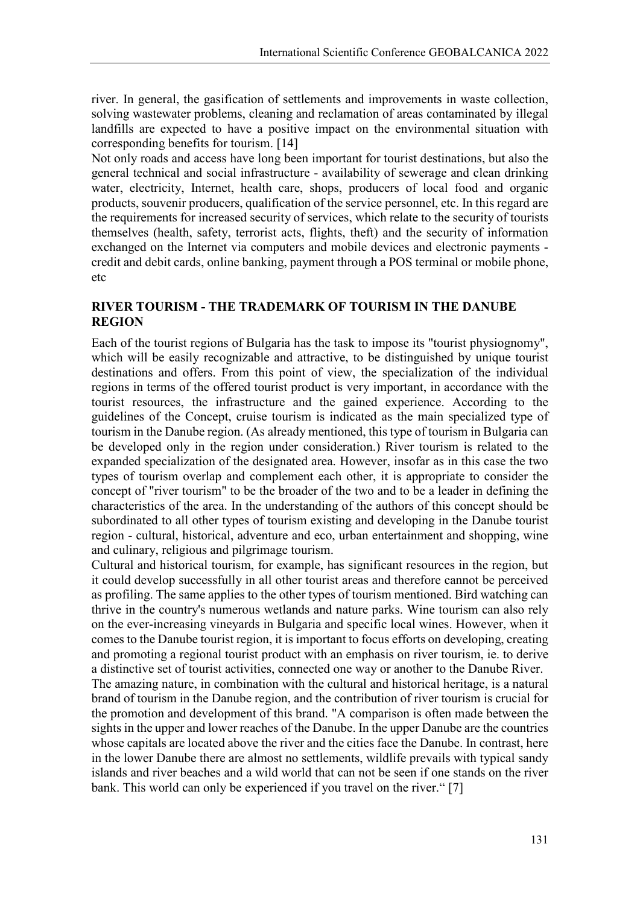river. In general, the gasification of settlements and improvements in waste collection, solving wastewater problems, cleaning and reclamation of areas contaminated by illegal landfills are expected to have a positive impact on the environmental situation with corresponding benefits for tourism. [14]

Not only roads and access have long been important for tourist destinations, but also the general technical and social infrastructure - availability of sewerage and clean drinking water, electricity, Internet, health care, shops, producers of local food and organic products, souvenir producers, qualification of the service personnel, etc. In this regard are the requirements for increased security of services, which relate to the security of tourists themselves (health, safety, terrorist acts, flights, theft) and the security of information exchanged on the Internet via computers and mobile devices and electronic payments credit and debit cards, online banking, payment through a POS terminal or mobile phone, etc

# **RIVER TOURISM - THE TRADEMARK OF TOURISM IN THE DANUBE REGION**

Each of the tourist regions of Bulgaria has the task to impose its "tourist physiognomy", which will be easily recognizable and attractive, to be distinguished by unique tourist destinations and offers. From this point of view, the specialization of the individual regions in terms of the offered tourist product is very important, in accordance with the tourist resources, the infrastructure and the gained experience. According to the guidelines of the Concept, cruise tourism is indicated as the main specialized type of tourism in the Danube region. (As already mentioned, this type of tourism in Bulgaria can be developed only in the region under consideration.) River tourism is related to the expanded specialization of the designated area. However, insofar as in this case the two types of tourism overlap and complement each other, it is appropriate to consider the concept of "river tourism" to be the broader of the two and to be a leader in defining the characteristics of the area. In the understanding of the authors of this concept should be subordinated to all other types of tourism existing and developing in the Danube tourist region - cultural, historical, adventure and eco, urban entertainment and shopping, wine and culinary, religious and pilgrimage tourism.

Cultural and historical tourism, for example, has significant resources in the region, but it could develop successfully in all other tourist areas and therefore cannot be perceived as profiling. The same applies to the other types of tourism mentioned. Bird watching can thrive in the country's numerous wetlands and nature parks. Wine tourism can also rely on the ever-increasing vineyards in Bulgaria and specific local wines. However, when it comes to the Danube tourist region, it is important to focus efforts on developing, creating and promoting a regional tourist product with an emphasis on river tourism, ie. to derive a distinctive set of tourist activities, connected one way or another to the Danube River. The amazing nature, in combination with the cultural and historical heritage, is a natural brand of tourism in the Danube region, and the contribution of river tourism is crucial for the promotion and development of this brand. "A comparison is often made between the sights in the upper and lower reaches of the Danube. In the upper Danube are the countries whose capitals are located above the river and the cities face the Danube. In contrast, here in the lower Danube there are almost no settlements, wildlife prevails with typical sandy islands and river beaches and a wild world that can not be seen if one stands on the river bank. This world can only be experienced if you travel on the river." [7]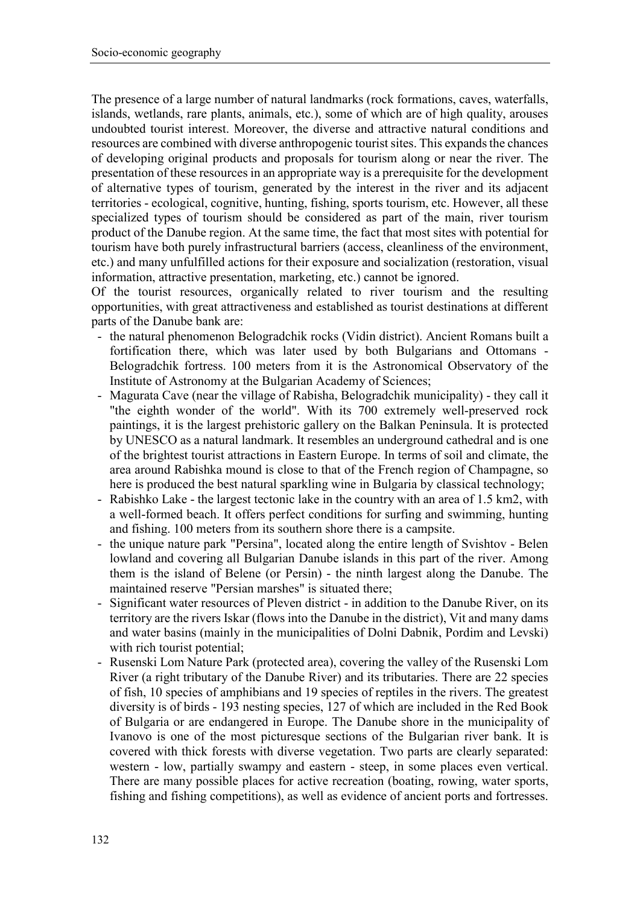The presence of a large number of natural landmarks (rock formations, caves, waterfalls, islands, wetlands, rare plants, animals, etc.), some of which are of high quality, arouses undoubted tourist interest. Moreover, the diverse and attractive natural conditions and resources are combined with diverse anthropogenic tourist sites. This expands the chances of developing original products and proposals for tourism along or near the river. The presentation of these resources in an appropriate way is a prerequisite for the development of alternative types of tourism, generated by the interest in the river and its adjacent territories - ecological, cognitive, hunting, fishing, sports tourism, etc. However, all these specialized types of tourism should be considered as part of the main, river tourism product of the Danube region. At the same time, the fact that most sites with potential for tourism have both purely infrastructural barriers (access, cleanliness of the environment, etc.) and many unfulfilled actions for their exposure and socialization (restoration, visual information, attractive presentation, marketing, etc.) cannot be ignored.

Of the tourist resources, organically related to river tourism and the resulting opportunities, with great attractiveness and established as tourist destinations at different parts of the Danube bank are:

- the natural phenomenon Belogradchik rocks (Vidin district). Ancient Romans built a fortification there, which was later used by both Bulgarians and Ottomans - Belogradchik fortress. 100 meters from it is the Astronomical Observatory of the Institute of Astronomy at the Bulgarian Academy of Sciences;
- Magurata Cave (near the village of Rabisha, Belogradchik municipality) they call it "the eighth wonder of the world". With its 700 extremely well-preserved rock paintings, it is the largest prehistoric gallery on the Balkan Peninsula. It is protected by UNESCO as a natural landmark. It resembles an underground cathedral and is one of the brightest tourist attractions in Eastern Europe. In terms of soil and climate, the area around Rabishka mound is close to that of the French region of Champagne, so here is produced the best natural sparkling wine in Bulgaria by classical technology;
- Rabishko Lake the largest tectonic lake in the country with an area of 1.5 km2, with a well-formed beach. It offers perfect conditions for surfing and swimming, hunting and fishing. 100 meters from its southern shore there is a campsite.
- the unique nature park "Persina", located along the entire length of Svishtov Belen lowland and covering all Bulgarian Danube islands in this part of the river. Among them is the island of Belene (or Persin) - the ninth largest along the Danube. The maintained reserve "Persian marshes" is situated there;
- Significant water resources of Pleven district in addition to the Danube River, on its territory are the rivers Iskar (flows into the Danube in the district), Vit and many dams and water basins (mainly in the municipalities of Dolni Dabnik, Pordim and Levski) with rich tourist potential;
- Rusenski Lom Nature Park (protected area), covering the valley of the Rusenski Lom River (a right tributary of the Danube River) and its tributaries. There are 22 species of fish, 10 species of amphibians and 19 species of reptiles in the rivers. The greatest diversity is of birds - 193 nesting species, 127 of which are included in the Red Book of Bulgaria or are endangered in Europe. The Danube shore in the municipality of Ivanovo is one of the most picturesque sections of the Bulgarian river bank. It is covered with thick forests with diverse vegetation. Two parts are clearly separated: western - low, partially swampy and eastern - steep, in some places even vertical. There are many possible places for active recreation (boating, rowing, water sports, fishing and fishing competitions), as well as evidence of ancient ports and fortresses.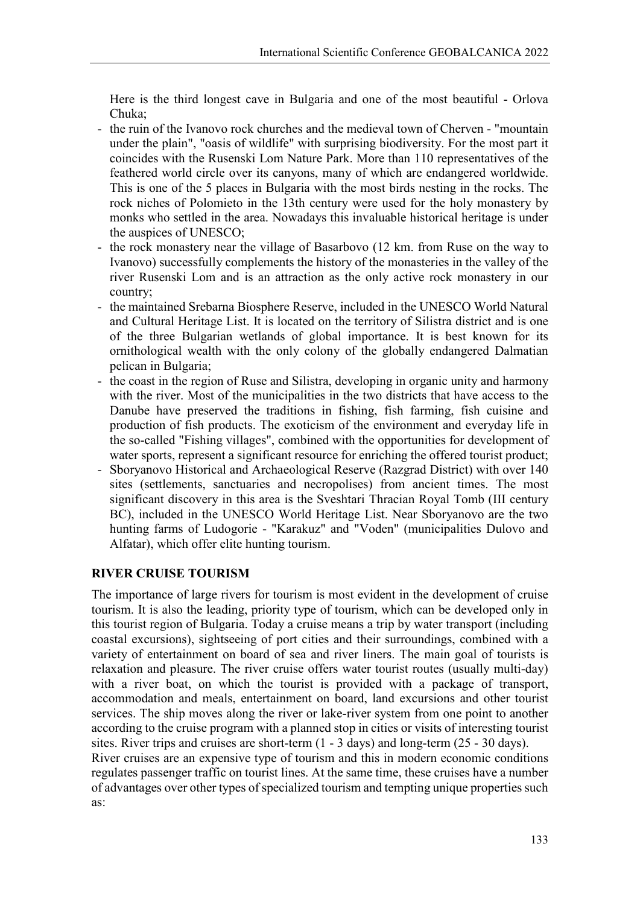Here is the third longest cave in Bulgaria and one of the most beautiful - Orlova Chuka;

- the ruin of the Ivanovo rock churches and the medieval town of Cherven "mountain under the plain", "oasis of wildlife" with surprising biodiversity. For the most part it coincides with the Rusenski Lom Nature Park. More than 110 representatives of the feathered world circle over its canyons, many of which are endangered worldwide. This is one of the 5 places in Bulgaria with the most birds nesting in the rocks. The rock niches of Polomieto in the 13th century were used for the holy monastery by monks who settled in the area. Nowadays this invaluable historical heritage is under the auspices of UNESCO;
- the rock monastery near the village of Basarbovo (12 km. from Ruse on the way to Ivanovo) successfully complements the history of the monasteries in the valley of the river Rusenski Lom and is an attraction as the only active rock monastery in our country;
- the maintained Srebarna Biosphere Reserve, included in the UNESCO World Natural and Cultural Heritage List. It is located on the territory of Silistra district and is one of the three Bulgarian wetlands of global importance. It is best known for its ornithological wealth with the only colony of the globally endangered Dalmatian pelican in Bulgaria;
- the coast in the region of Ruse and Silistra, developing in organic unity and harmony with the river. Most of the municipalities in the two districts that have access to the Danube have preserved the traditions in fishing, fish farming, fish cuisine and production of fish products. The exoticism of the environment and everyday life in the so-called "Fishing villages", combined with the opportunities for development of water sports, represent a significant resource for enriching the offered tourist product;
- Sboryanovo Historical and Archaeological Reserve (Razgrad District) with over 140 sites (settlements, sanctuaries and necropolises) from ancient times. The most significant discovery in this area is the Sveshtari Thracian Royal Tomb (III century BC), included in the UNESCO World Heritage List. Near Sboryanovo are the two hunting farms of Ludogorie - "Karakuz" and "Voden" (municipalities Dulovo and Alfatar), which offer elite hunting tourism.

# **RIVER CRUISE TOURISM**

The importance of large rivers for tourism is most evident in the development of cruise tourism. It is also the leading, priority type of tourism, which can be developed only in this tourist region of Bulgaria. Today a cruise means a trip by water transport (including coastal excursions), sightseeing of port cities and their surroundings, combined with a variety of entertainment on board of sea and river liners. The main goal of tourists is relaxation and pleasure. The river cruise offers water tourist routes (usually multi-day) with a river boat, on which the tourist is provided with a package of transport, accommodation and meals, entertainment on board, land excursions and other tourist services. The ship moves along the river or lake-river system from one point to another according to the cruise program with a planned stop in cities or visits of interesting tourist sites. River trips and cruises are short-term (1 - 3 days) and long-term (25 - 30 days).

River cruises are an expensive type of tourism and this in modern economic conditions regulates passenger traffic on tourist lines. At the same time, these cruises have a number of advantages over other types of specialized tourism and tempting unique properties such as: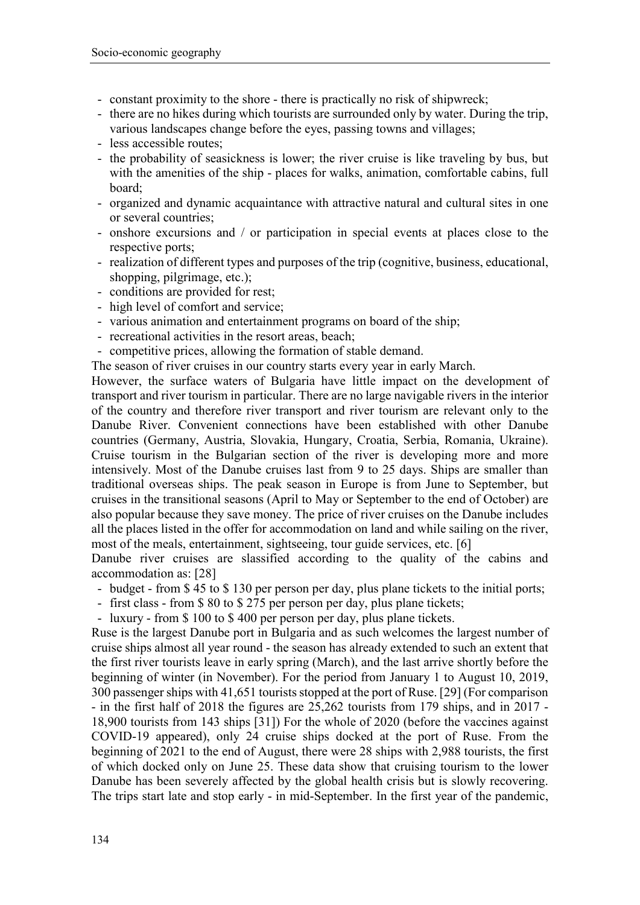- constant proximity to the shore there is practically no risk of shipwreck;
- there are no hikes during which tourists are surrounded only by water. During the trip, various landscapes change before the eyes, passing towns and villages;
- less accessible routes;
- the probability of seasickness is lower; the river cruise is like traveling by bus, but with the amenities of the ship - places for walks, animation, comfortable cabins, full board;
- organized and dynamic acquaintance with attractive natural and cultural sites in one or several countries;
- onshore excursions and / or participation in special events at places close to the respective ports;
- realization of different types and purposes of the trip (cognitive, business, educational, shopping, pilgrimage, etc.);
- conditions are provided for rest;
- high level of comfort and service;
- various animation and entertainment programs on board of the ship;
- recreational activities in the resort areas, beach;
- competitive prices, allowing the formation of stable demand.
- The season of river cruises in our country starts every year in early March.

However, the surface waters of Bulgaria have little impact on the development of transport and river tourism in particular. There are no large navigable rivers in the interior of the country and therefore river transport and river tourism are relevant only to the Danube River. Convenient connections have been established with other Danube countries (Germany, Austria, Slovakia, Hungary, Croatia, Serbia, Romania, Ukraine). Cruise tourism in the Bulgarian section of the river is developing more and more intensively. Most of the Danube cruises last from 9 to 25 days. Ships are smaller than traditional overseas ships. The peak season in Europe is from June to September, but cruises in the transitional seasons (April to May or September to the end of October) are also popular because they save money. The price of river cruises on the Danube includes all the places listed in the offer for accommodation on land and while sailing on the river, most of the meals, entertainment, sightseeing, tour guide services, etc. [6]

Danube river cruises are slassified according to the quality of the cabins and accommodation as: [28]

- budget from \$ 45 to \$ 130 per person per day, plus plane tickets to the initial ports;
- first class from \$ 80 to \$ 275 per person per day, plus plane tickets;
- luxury from \$100 to \$400 per person per day, plus plane tickets.

Ruse is the largest Danube port in Bulgaria and as such welcomes the largest number of cruise ships almost all year round - the season has already extended to such an extent that the first river tourists leave in early spring (March), and the last arrive shortly before the beginning of winter (in November). For the period from January 1 to August 10, 2019, 300 passenger ships with 41,651 tourists stopped at the port of Ruse. [29] (For comparison - in the first half of 2018 the figures are 25,262 tourists from 179 ships, and in 2017 - 18,900 tourists from 143 ships [31]) For the whole of 2020 (before the vaccines against COVID-19 appeared), only 24 cruise ships docked at the port of Ruse. From the beginning of 2021 to the end of August, there were 28 ships with 2,988 tourists, the first of which docked only on June 25. These data show that cruising tourism to the lower Danube has been severely affected by the global health crisis but is slowly recovering. The trips start late and stop early - in mid-September. In the first year of the pandemic,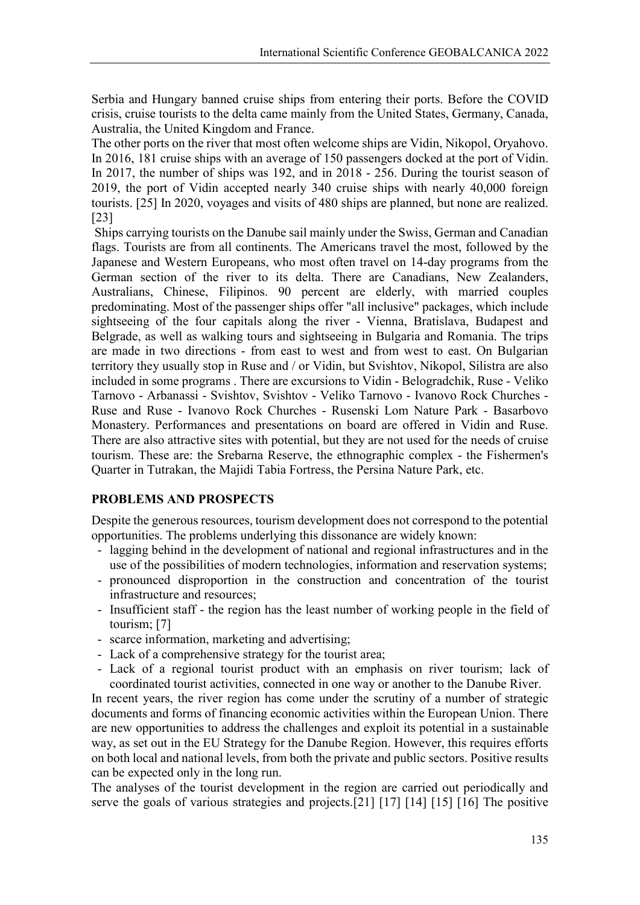Serbia and Hungary banned cruise ships from entering their ports. Before the COVID crisis, cruise tourists to the delta came mainly from the United States, Germany, Canada, Australia, the United Kingdom and France.

The other ports on the river that most often welcome ships are Vidin, Nikopol, Oryahovo. In 2016, 181 cruise ships with an average of 150 passengers docked at the port of Vidin. In 2017, the number of ships was 192, and in 2018 - 256. During the tourist season of 2019, the port of Vidin accepted nearly 340 cruise ships with nearly 40,000 foreign tourists. [25] In 2020, voyages and visits of 480 ships are planned, but none are realized. [23]

Ships carrying tourists on the Danube sail mainly under the Swiss, German and Canadian flags. Tourists are from all continents. The Americans travel the most, followed by the Japanese and Western Europeans, who most often travel on 14-day programs from the German section of the river to its delta. There are Canadians, New Zealanders, Australians, Chinese, Filipinos. 90 percent are elderly, with married couples predominating. Most of the passenger ships offer "all inclusive" packages, which include sightseeing of the four capitals along the river - Vienna, Bratislava, Budapest and Belgrade, as well as walking tours and sightseeing in Bulgaria and Romania. The trips are made in two directions - from east to west and from west to east. On Bulgarian territory they usually stop in Ruse and / or Vidin, but Svishtov, Nikopol, Silistra are also included in some programs . There are excursions to Vidin - Belogradchik, Ruse - Veliko Tarnovo - Arbanassi - Svishtov, Svishtov - Veliko Tarnovo - Ivanovo Rock Churches - Ruse and Ruse - Ivanovo Rock Churches - Rusenski Lom Nature Park - Basarbovo Monastery. Performances and presentations on board are offered in Vidin and Ruse. There are also attractive sites with potential, but they are not used for the needs of cruise tourism. These are: the Srebarna Reserve, the ethnographic complex - the Fishermen's Quarter in Tutrakan, the Majidi Tabia Fortress, the Persina Nature Park, etc.

# **PROBLEMS AND PROSPECTS**

Despite the generous resources, tourism development does not correspond to the potential opportunities. The problems underlying this dissonance are widely known:

- lagging behind in the development of national and regional infrastructures and in the use of the possibilities of modern technologies, information and reservation systems;
- pronounced disproportion in the construction and concentration of the tourist infrastructure and resources;
- Insufficient staff the region has the least number of working people in the field of tourism; [7]
- scarce information, marketing and advertising;
- Lack of a comprehensive strategy for the tourist area;
- Lack of a regional tourist product with an emphasis on river tourism; lack of coordinated tourist activities, connected in one way or another to the Danube River.

In recent years, the river region has come under the scrutiny of a number of strategic documents and forms of financing economic activities within the European Union. There are new opportunities to address the challenges and exploit its potential in a sustainable way, as set out in the EU Strategy for the Danube Region. However, this requires efforts on both local and national levels, from both the private and public sectors. Positive results can be expected only in the long run.

The analyses of the tourist development in the region are carried out periodically and serve the goals of various strategies and projects.[21] [17] [14] [15] [16] The positive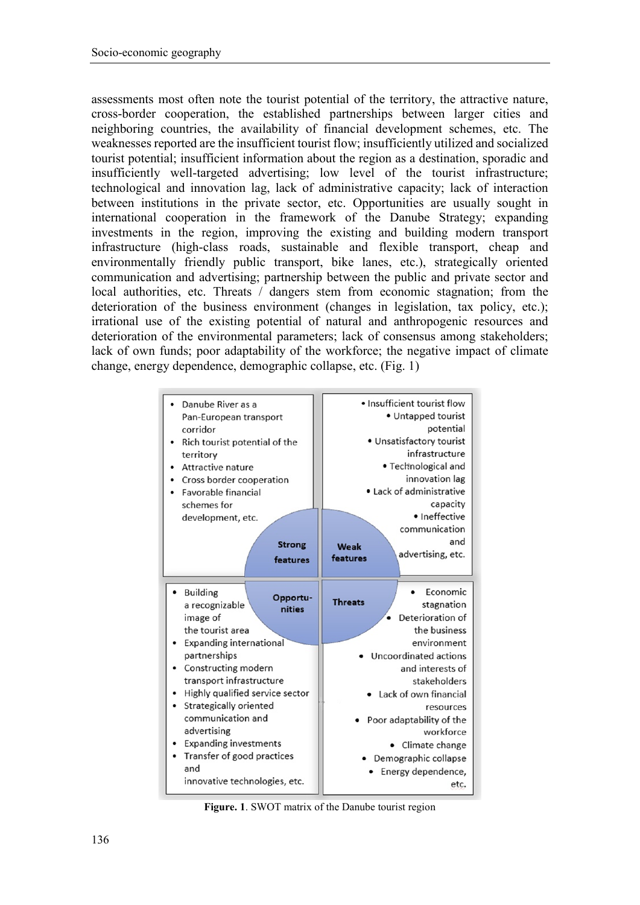assessments most often note the tourist potential of the territory, the attractive nature, cross-border cooperation, the established partnerships between larger cities and neighboring countries, the availability of financial development schemes, etc. The weaknesses reported are the insufficient tourist flow; insufficiently utilized and socialized tourist potential; insufficient information about the region as a destination, sporadic and insufficiently well-targeted advertising; low level of the tourist infrastructure; technological and innovation lag, lack of administrative capacity; lack of interaction between institutions in the private sector, etc. Opportunities are usually sought in international cooperation in the framework of the Danube Strategy; expanding investments in the region, improving the existing and building modern transport infrastructure (high-class roads, sustainable and flexible transport, cheap and environmentally friendly public transport, bike lanes, etc.), strategically oriented communication and advertising; partnership between the public and private sector and local authorities, etc. Threats / dangers stem from economic stagnation; from the deterioration of the business environment (changes in legislation, tax policy, etc.); irrational use of the existing potential of natural and anthropogenic resources and deterioration of the environmental parameters; lack of consensus among stakeholders; lack of own funds; poor adaptability of the workforce; the negative impact of climate change, energy dependence, demographic collapse, etc. (Fig. 1)

| Danube River as a<br>Pan-European transport<br>corridor<br>Rich tourist potential of the<br>territory<br>Attractive nature<br>Cross border cooperation<br>Favorable financial<br>schemes for<br>development, etc.<br><b>Strong</b>                                                                                                                          | • Insufficient tourist flow<br>• Untapped tourist<br>potential<br>• Unsatisfactory tourist<br>infrastructure<br>· Technological and<br>innovation lag<br>• Lack of administrative<br>capacity<br>• Ineffective<br>communication<br>and<br>Weak                                      |  |
|-------------------------------------------------------------------------------------------------------------------------------------------------------------------------------------------------------------------------------------------------------------------------------------------------------------------------------------------------------------|-------------------------------------------------------------------------------------------------------------------------------------------------------------------------------------------------------------------------------------------------------------------------------------|--|
| features                                                                                                                                                                                                                                                                                                                                                    | advertising, etc.<br>features                                                                                                                                                                                                                                                       |  |
| <b>Building</b><br>Opportu-<br>a recognizable<br>nities<br>image of<br>the tourist area<br><b>Expanding international</b><br>partnerships<br>Constructing modern<br>transport infrastructure<br>Highly qualified service sector<br>Strategically oriented<br>communication and<br>advertising<br><b>Expanding investments</b><br>Transfer of good practices | Economic<br><b>Threats</b><br>stagnation<br>Deterioration of<br>the business<br>environment<br>Uncoordinated actions<br>and interests of<br>stakeholders<br>• Lack of own financial<br>resources<br>Poor adaptability of the<br>workforce<br>Climate change<br>Demographic collapse |  |
| and<br>innovative technologies, etc.                                                                                                                                                                                                                                                                                                                        | Energy dependence,<br>etc.                                                                                                                                                                                                                                                          |  |
|                                                                                                                                                                                                                                                                                                                                                             |                                                                                                                                                                                                                                                                                     |  |

**Figure. 1**. SWOT matrix of the Danube tourist region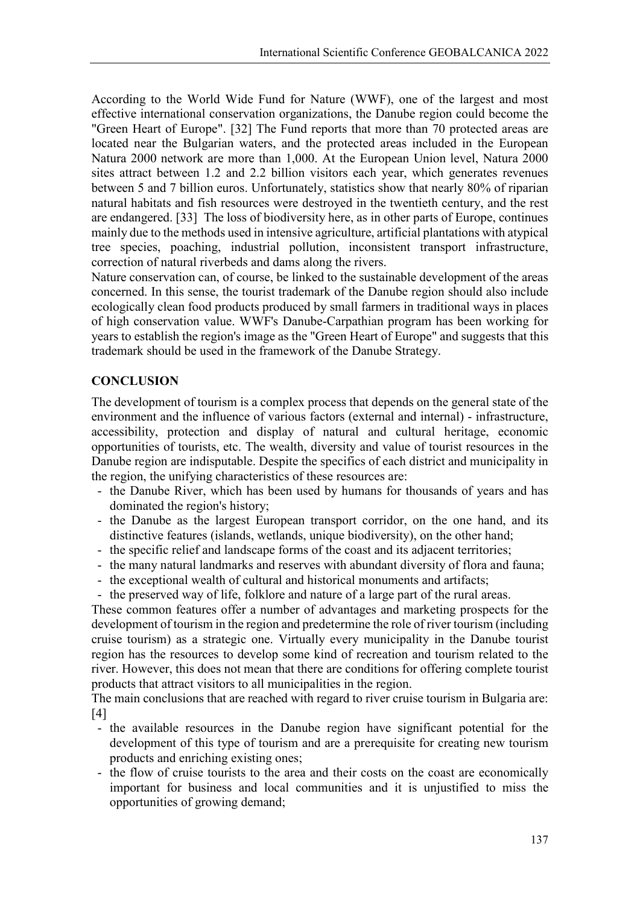According to the World Wide Fund for Nature (WWF), one of the largest and most effective international conservation organizations, the Danube region could become the "Green Heart of Europe". [32] The Fund reports that more than 70 protected areas are located near the Bulgarian waters, and the protected areas included in the European Natura 2000 network are more than 1,000. At the European Union level, Natura 2000 sites attract between 1.2 and 2.2 billion visitors each year, which generates revenues between 5 and 7 billion euros. Unfortunately, statistics show that nearly 80% of riparian natural habitats and fish resources were destroyed in the twentieth century, and the rest are endangered. [33] The loss of biodiversity here, as in other parts of Europe, continues mainly due to the methods used in intensive agriculture, artificial plantations with atypical tree species, poaching, industrial pollution, inconsistent transport infrastructure, correction of natural riverbeds and dams along the rivers.

Nature conservation can, of course, be linked to the sustainable development of the areas concerned. In this sense, the tourist trademark of the Danube region should also include ecologically clean food products produced by small farmers in traditional ways in places of high conservation value. WWF's Danube-Carpathian program has been working for years to establish the region's image as the "Green Heart of Europe" and suggests that this trademark should be used in the framework of the Danube Strategy.

# **CONCLUSION**

The development of tourism is a complex process that depends on the general state of the environment and the influence of various factors (external and internal) - infrastructure, accessibility, protection and display of natural and cultural heritage, economic opportunities of tourists, etc. The wealth, diversity and value of tourist resources in the Danube region are indisputable. Despite the specifics of each district and municipality in the region, the unifying characteristics of these resources are:

- the Danube River, which has been used by humans for thousands of years and has dominated the region's history;
- the Danube as the largest European transport corridor, on the one hand, and its distinctive features (islands, wetlands, unique biodiversity), on the other hand;
- the specific relief and landscape forms of the coast and its adjacent territories;
- the many natural landmarks and reserves with abundant diversity of flora and fauna;
- the exceptional wealth of cultural and historical monuments and artifacts;
- the preserved way of life, folklore and nature of a large part of the rural areas.

These common features offer a number of advantages and marketing prospects for the development of tourism in the region and predetermine the role of river tourism (including cruise tourism) as a strategic one. Virtually every municipality in the Danube tourist region has the resources to develop some kind of recreation and tourism related to the river. However, this does not mean that there are conditions for offering complete tourist products that attract visitors to all municipalities in the region.

The main conclusions that are reached with regard to river cruise tourism in Bulgaria are: [4]

- the available resources in the Danube region have significant potential for the development of this type of tourism and are a prerequisite for creating new tourism products and enriching existing ones;
- the flow of cruise tourists to the area and their costs on the coast are economically important for business and local communities and it is unjustified to miss the opportunities of growing demand;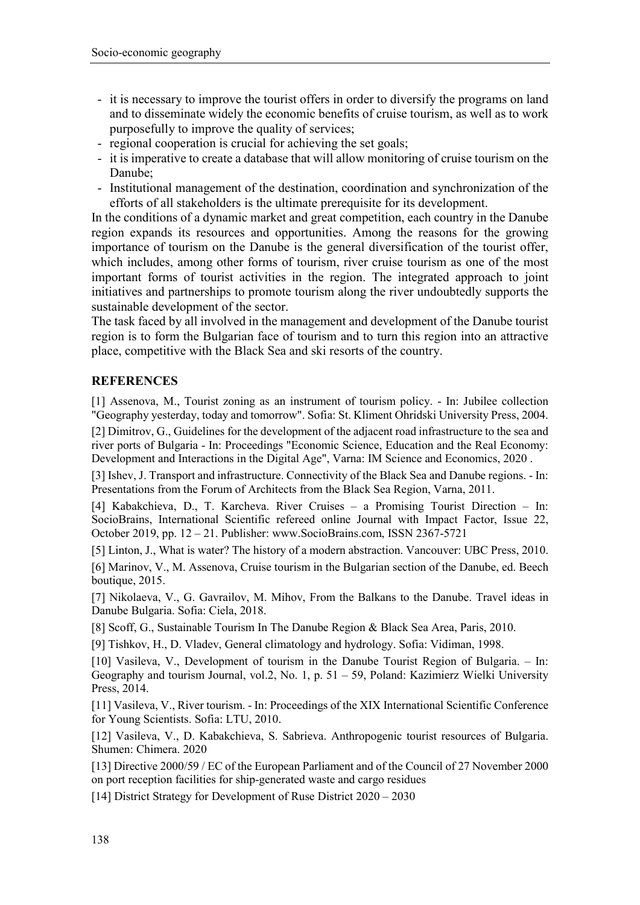- it is necessary to improve the tourist offers in order to diversify the programs on land and to disseminate widely the economic benefits of cruise tourism, as well as to work purposefully to improve the quality of services;
- regional cooperation is crucial for achieving the set goals;
- it is imperative to create a database that will allow monitoring of cruise tourism on the Danube;
- Institutional management of the destination, coordination and synchronization of the efforts of all stakeholders is the ultimate prerequisite for its development.

In the conditions of a dynamic market and great competition, each country in the Danube region expands its resources and opportunities. Among the reasons for the growing importance of tourism on the Danube is the general diversification of the tourist offer, which includes, among other forms of tourism, river cruise tourism as one of the most important forms of tourist activities in the region. The integrated approach to joint initiatives and partnerships to promote tourism along the river undoubtedly supports the sustainable development of the sector.

The task faced by all involved in the management and development of the Danube tourist region is to form the Bulgarian face of tourism and to turn this region into an attractive place, competitive with the Black Sea and ski resorts of the country.

#### **REFERENCES**

[1] Assenova, M., Tourist zoning as an instrument of tourism policy. - In: Jubilee collection "Geography yesterday, today and tomorrow". Sofia: St. Kliment Ohridski University Press, 2004. [2] Dimitrov, G., Guidelines for the development of the adjacent road infrastructure to the sea and river ports of Bulgaria - In: Proceedings "Economic Science, Education and the Real Economy: Development and Interactions in the Digital Age", Varna: IM Science and Economics, 2020 .

[3] Ishev, J. Transport and infrastructure. Connectivity of the Black Sea and Danube regions. - In: Presentations from the Forum of Architects from the Black Sea Region, Varna, 2011.

[4] Kabakchieva, D., T. Karcheva. River Cruises – a Promising Tourist Direction – In: SocioBrains, International Scientific refereed online Journal with Impact Factor, Issue 22, October 2019, pp. 12 – 21. Publisher: www.SocioBrains.com, ISSN 2367-5721

[5] Linton, J., What is water? The history of a modern abstraction. Vancouver: UBC Press, 2010. [6] Marinov, V., M. Assenova, Cruise tourism in the Bulgarian section of the Danube, ed. Beech boutique, 2015.

[7] Nikolaeva, V., G. Gavrailov, M. Mihov, From the Balkans to the Danube. Travel ideas in Danube Bulgaria. Sofia: Ciela, 2018.

[8] Scoff, G., Sustainable Tourism In The Danube Region & Black Sea Area, Paris, 2010.

[9] Tishkov, H., D. Vladev, General climatology and hydrology. Sofia: Vidiman, 1998.

[10] Vasileva, V., Development of tourism in the Danube Tourist Region of Bulgaria. – In: Geography and tourism Journal, vol.2, Nо. 1, р. 51 – 59, Poland: Kazimierz Wielki University Press, 2014.

[11] Vasileva, V., River tourism. - In: Proceedings of the XIX International Scientific Conference for Young Scientists. Sofia: LTU, 2010.

[12] Vasileva, V., D. Kabakchieva, S. Sabrieva. Anthropogenic tourist resources of Bulgaria. Shumen: Chimera. 2020

[13] Directive 2000/59 / EC of the European Parliament and of the Council of 27 November 2000 on port reception facilities for ship-generated waste and cargo residues

[14] District Strategy for Development of Ruse District 2020 – 2030